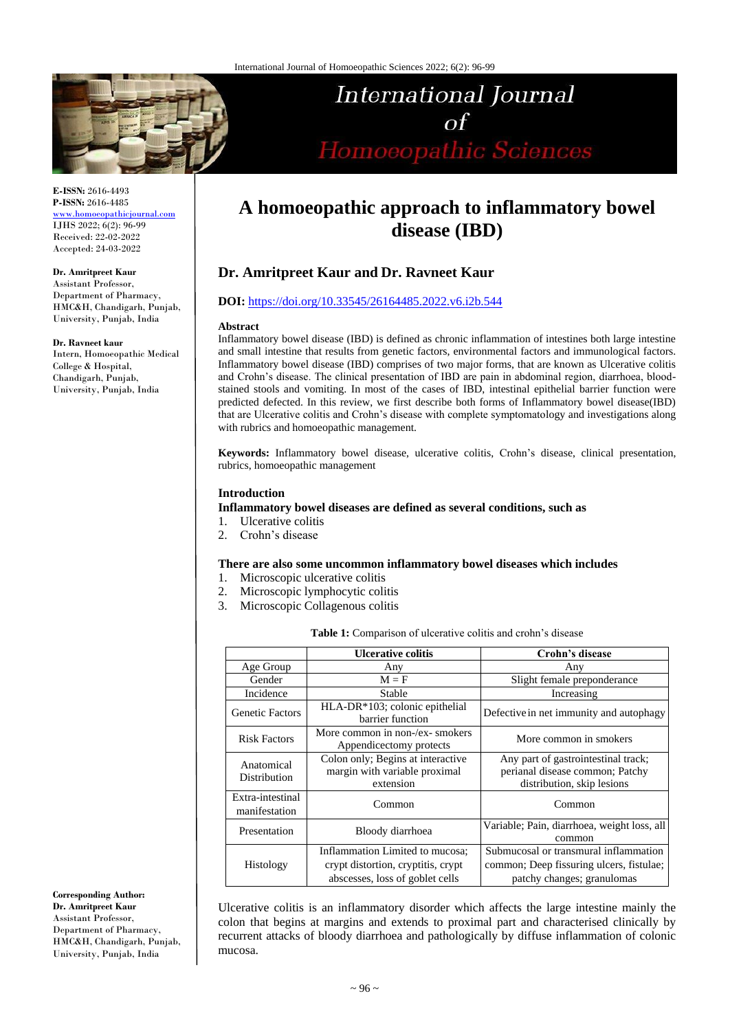

# International Journal  $\sigma f$ Homoeopathic Sciences

**E-ISSN:** 2616-4493 **P-ISSN:** 2616-4485 [www.homoeopathicjournal.com](file://///Server/test/homoeopathicjournal/issue/vol%204/issue%201/www.homoeopathicjournal.com)

IJHS 2022; 6(2): 96-99 Received: 22-02-2022 Accepted: 24-03-2022

**Dr. Amritpreet Kaur**

Assistant Professor, Department of Pharmacy, HMC&H, Chandigarh, Punjab, University, Punjab, India

**Dr. Ravneet kaur**

Intern, Homoeopathic Medical College & Hospital, Chandigarh, Punjab, University, Punjab, India

**A homoeopathic approach to inflammatory bowel disease (IBD)**

# **Dr. Amritpreet Kaur and Dr. Ravneet Kaur**

#### **DOI:** <https://doi.org/10.33545/26164485.2022.v6.i2b.544>

#### **Abstract**

Inflammatory bowel disease (IBD) is defined as chronic inflammation of intestines both large intestine and small intestine that results from genetic factors, environmental factors and immunological factors. Inflammatory bowel disease (IBD) comprises of two major forms, that are known as Ulcerative colitis and Crohn's disease. The clinical presentation of IBD are pain in abdominal region, diarrhoea, bloodstained stools and vomiting. In most of the cases of IBD, intestinal epithelial barrier function were predicted defected. In this review, we first describe both forms of Inflammatory bowel disease(IBD) that are Ulcerative colitis and Crohn's disease with complete symptomatology and investigations along with rubrics and homoeopathic management.

**Keywords:** Inflammatory bowel disease, ulcerative colitis, Crohn's disease, clinical presentation, rubrics, homoeopathic management

#### **Introduction**

#### **Inflammatory bowel diseases are defined as several conditions, such as**

- 1. Ulcerative colitis
- 2. Crohn's disease

#### **There are also some uncommon inflammatory bowel diseases which includes**

- 1. Microscopic ulcerative colitis
- 2. Microscopic lymphocytic colitis
- 3. Microscopic Collagenous colitis

|                                   | <b>Ulcerative colitis</b>                                                       | Crohn's disease                                                                                      |
|-----------------------------------|---------------------------------------------------------------------------------|------------------------------------------------------------------------------------------------------|
| Age Group                         | Any                                                                             | Any                                                                                                  |
| Gender                            | $M = F$                                                                         | Slight female preponderance                                                                          |
| Incidence                         | Stable                                                                          | Increasing                                                                                           |
| <b>Genetic Factors</b>            | HLA-DR*103; colonic epithelial<br>barrier function                              | Defective in net immunity and autophagy                                                              |
| <b>Risk Factors</b>               | More common in non-/ex- smokers<br>Appendicectomy protects                      | More common in smokers                                                                               |
| Anatomical<br>Distribution        | Colon only; Begins at interactive<br>margin with variable proximal<br>extension | Any part of gastrointestinal track;<br>perianal disease common; Patchy<br>distribution, skip lesions |
| Extra-intestinal<br>manifestation | Common                                                                          | Common                                                                                               |
| Presentation                      | Bloody diarrhoea                                                                | Variable; Pain, diarrhoea, weight loss, all<br>common                                                |
| Histology                         | Inflammation Limited to mucosa;                                                 | Submucosal or transmural inflammation                                                                |
|                                   | crypt distortion, cryptitis, crypt                                              | common; Deep fissuring ulcers, fistulae;                                                             |
|                                   | abscesses, loss of goblet cells                                                 | patchy changes; granulomas                                                                           |

Ulcerative colitis is an inflammatory disorder which affects the large intestine mainly the colon that begins at margins and extends to proximal part and characterised clinically by recurrent attacks of bloody diarrhoea and pathologically by diffuse inflammation of colonic mucosa.

**Corresponding Author:**

**Dr. Amritpreet Kaur** Assistant Professor, Department of Pharmacy, HMC&H, Chandigarh, Punjab, University, Punjab, India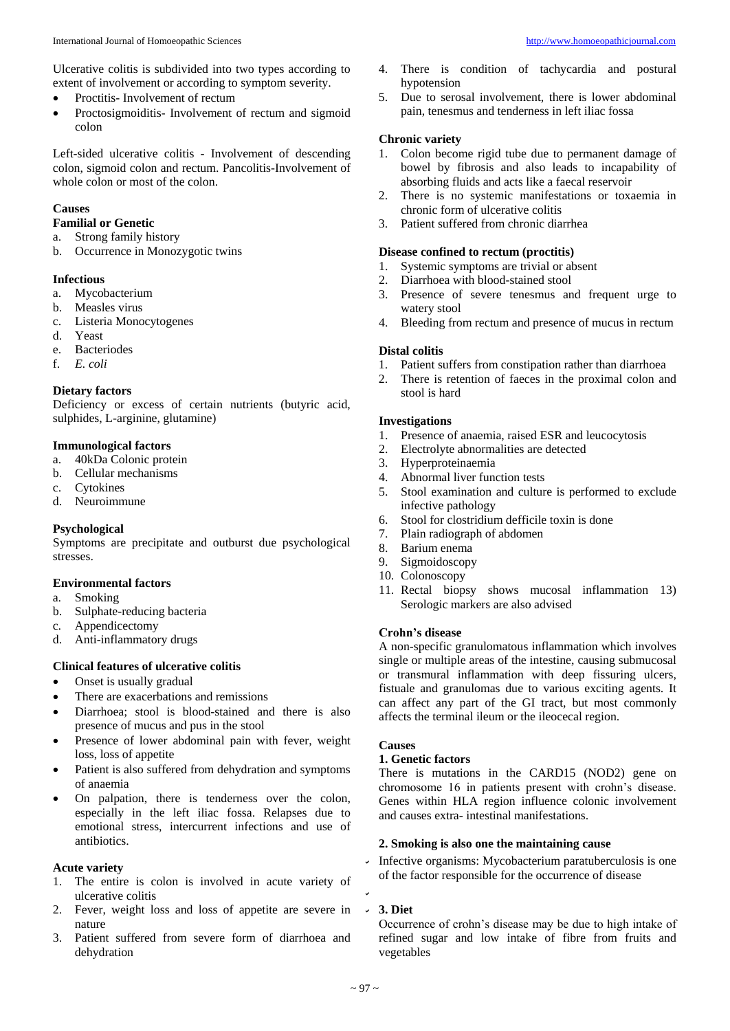Ulcerative colitis is subdivided into two types according to extent of involvement or according to symptom severity.

- Proctitis- Involvement of rectum
- Proctosigmoiditis- Involvement of rectum and sigmoid colon

Left-sided ulcerative colitis - Involvement of descending colon, sigmoid colon and rectum. Pancolitis-Involvement of whole colon or most of the colon.

#### **Causes**

# **Familial or Genetic**

- a. Strong family history
- b. Occurrence in Monozygotic twins

#### **Infectious**

- a. Mycobacterium
- b. Measles virus
- c. Listeria Monocytogenes
- d. Yeast
- e. Bacteriodes
- f. *E. coli*

#### **Dietary factors**

Deficiency or excess of certain nutrients (butyric acid, sulphides, L-arginine, glutamine)

# **Immunological factors**

- a. 40kDa Colonic protein
- b. Cellular mechanisms
- c. Cytokines
- d. Neuroimmune

#### **Psychological**

Symptoms are precipitate and outburst due psychological stresses.

#### **Environmental factors**

- a. Smoking
- b. Sulphate-reducing bacteria
- Appendicectomy
- d. Anti-inflammatory drugs

# **Clinical features of ulcerative colitis**

- Onset is usually gradual
- There are exacerbations and remissions
- Diarrhoea; stool is blood-stained and there is also presence of mucus and pus in the stool
- Presence of lower abdominal pain with fever, weight loss, loss of appetite
- Patient is also suffered from dehydration and symptoms of anaemia
- On palpation, there is tenderness over the colon, especially in the left iliac fossa. Relapses due to emotional stress, intercurrent infections and use of antibiotics.

#### **Acute variety**

- 1. The entire is colon is involved in acute variety of ulcerative colitis
- 2. Fever, weight loss and loss of appetite are severe in nature
- 3. Patient suffered from severe form of diarrhoea and dehydration
- There is condition of tachycardia and postural hypotension
- 5. Due to serosal involvement, there is lower abdominal pain, tenesmus and tenderness in left iliac fossa

#### **Chronic variety**

- 1. Colon become rigid tube due to permanent damage of bowel by fibrosis and also leads to incapability of absorbing fluids and acts like a faecal reservoir
- 2. There is no systemic manifestations or toxaemia in chronic form of ulcerative colitis
- 3. Patient suffered from chronic diarrhea

#### **Disease confined to rectum (proctitis)**

- 1. Systemic symptoms are trivial or absent
- 2. Diarrhoea with blood-stained stool
- 3. Presence of severe tenesmus and frequent urge to watery stool
- 4. Bleeding from rectum and presence of mucus in rectum

#### **Distal colitis**

- 1. Patient suffers from constipation rather than diarrhoea
- 2. There is retention of faeces in the proximal colon and stool is hard

#### **Investigations**

- 1. Presence of anaemia, raised ESR and leucocytosis
- 2. Electrolyte abnormalities are detected
- 3. Hyperproteinaemia
- 4. Abnormal liver function tests
- 5. Stool examination and culture is performed to exclude infective pathology
- 6. Stool for clostridium defficile toxin is done
- 7. Plain radiograph of abdomen
- 8. Barium enema
- 9. Sigmoidoscopy
- 10. Colonoscopy
- 11. Rectal biopsy shows mucosal inflammation 13) Serologic markers are also advised

#### **Crohn's disease**

A non-specific granulomatous inflammation which involves single or multiple areas of the intestine, causing submucosal or transmural inflammation with deep fissuring ulcers, fistuale and granulomas due to various exciting agents. It can affect any part of the GI tract, but most commonly affects the terminal ileum or the ileocecal region.

## **Causes**

# **1. Genetic factors**

There is mutations in the CARD15 (NOD2) gene on chromosome 16 in patients present with crohn's disease. Genes within HLA region influence colonic involvement and causes extra- intestinal manifestations.

#### **2. Smoking is also one the maintaining cause**

Infective organisms: Mycobacterium paratuberculosis is one of the factor responsible for the occurrence of disease

#### **3. Diet**

Occurrence of crohn's disease may be due to high intake of refined sugar and low intake of fibre from fruits and vegetables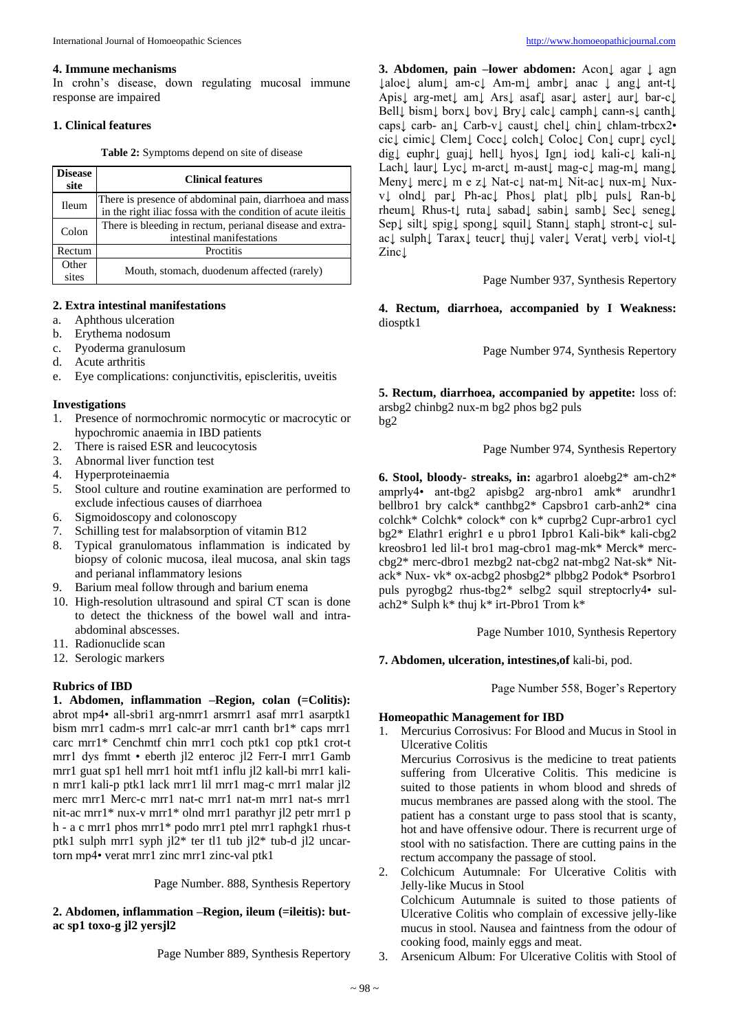#### **4. Immune mechanisms**

In crohn's disease, down regulating mucosal immune response are impaired

#### **1. Clinical features**

**Table 2:** Symptoms depend on site of disease

| <b>Disease</b><br>site | <b>Clinical features</b>                                                                                                |  |
|------------------------|-------------------------------------------------------------------------------------------------------------------------|--|
| Ileum                  | There is presence of abdominal pain, diarrhoea and mass<br>in the right iliac fossa with the condition of acute ileitis |  |
| Colon                  | There is bleeding in rectum, perianal disease and extra-<br>intestinal manifestations                                   |  |
| Rectum                 | Proctitis                                                                                                               |  |
| Other<br>sites         | Mouth, stomach, duodenum affected (rarely)                                                                              |  |

#### **2. Extra intestinal manifestations**

- a. Aphthous ulceration
- b. Erythema nodosum
- c. Pyoderma granulosum
- d. Acute arthritis
- e. Eye complications: conjunctivitis, episcleritis, uveitis

#### **Investigations**

- 1. Presence of normochromic normocytic or macrocytic or hypochromic anaemia in IBD patients
- 2. There is raised ESR and leucocytosis
- 3. Abnormal liver function test<br>4. Hyperproteinaemia
- 4. Hyperproteinaemia
- 5. Stool culture and routine examination are performed to exclude infectious causes of diarrhoea
- 6. Sigmoidoscopy and colonoscopy
- 7. Schilling test for malabsorption of vitamin B12
- 8. Typical granulomatous inflammation is indicated by biopsy of colonic mucosa, ileal mucosa, anal skin tags and perianal inflammatory lesions
- 9. Barium meal follow through and barium enema
- 10. High-resolution ultrasound and spiral CT scan is done to detect the thickness of the bowel wall and intraabdominal abscesses.
- 11. Radionuclide scan
- 12. Serologic markers

# **Rubrics of IBD**

**1. Abdomen, inflammation –Region, colan (=Colitis):** abrot mp4• all-sbri1 arg-nmrr1 arsmrr1 asaf mrr1 asarptk1 bism mrr1 cadm-s mrr1 calc-ar mrr1 canth br1\* caps mrr1 carc mrr1\* Cenchmtf chin mrr1 coch ptk1 cop ptk1 crot-t mrr1 dys fmmt • eberth jl2 enteroc jl2 Ferr-I mrr1 Gamb mrr1 guat sp1 hell mrr1 hoit mtf1 influ jl2 kall-bi mrr1 kalin mrr1 kali-p ptk1 lack mrr1 lil mrr1 mag-c mrr1 malar jl2 merc mrr1 Merc-c mrr1 nat-c mrr1 nat-m mrr1 nat-s mrr1 nit-ac mrr1\* nux-v mrr1\* olnd mrr1 parathyr jl2 petr mrr1 p h - a c mrr1 phos mrr1\* podo mrr1 ptel mrr1 raphgk1 rhus-t ptk1 sulph mrr1 syph jl2\* ter tl1 tub jl2\* tub-d jl2 uncartorn mp4• verat mrr1 zinc mrr1 zinc-val ptk1

Page Number. 888, Synthesis Repertory

**2. Abdomen, inflammation –Region, ileum (=ileitis): butac sp1 toxo-g jl2 yersjl2**

Page Number 889, Synthesis Repertory

**3. Abdomen, pain –lower abdomen:** Acon **agar l** agn ↓aloe↓ alum↓ am-c↓ Am-m↓ ambr↓ anac ↓ ang↓ ant-t↓ Apis↓ arg-met↓ am↓ Ars↓ asaf↓ asar↓ aster↓ aur↓ bar-c↓ Bell↓ bism↓ borx↓ bov↓ Bry↓ calc↓ camph↓ cann-s↓ canth↓ caps↓ carb- an↓ Carb-v↓ caust↓ chel↓ chin↓ chlam-trbcx2• cic↓ cimic↓ Clem↓ Cocc↓ colch↓ Coloc↓ Con↓ cupr↓ cycl↓ dig↓ euphr↓ guaj↓ hell↓ hyos↓ Ign↓ iod↓ kali-c↓ kali-n↓ Lach↓ laur↓ Lyc↓ m-arct↓ m-aust↓ mag-c↓ mag-m↓ mang↓ Meny↓ merc↓ m e z↓ Nat-c↓ nat-m↓ Nit-ac↓ nux-m↓ Nuxv↓ olnd↓ par↓ Ph-ac↓ Phos↓ plat↓ plb↓ puls↓ Ran-b↓ rheum↓ Rhus-t↓ ruta↓ sabad↓ sabin↓ samb↓ Sec↓ seneg↓ Sep↓ silt↓ spig↓ spong↓ squil↓ Stann↓ staph↓ stront-c↓ sulac↓ sulph↓ Tarax↓ teucr↓ thuj↓ valer↓ Verat↓ verb↓ viol-t↓ Zinc<sup>1</sup>

Page Number 937, Synthesis Repertory

**4. Rectum, diarrhoea, accompanied by I Weakness:**  diosptk1

Page Number 974, Synthesis Repertory

**5. Rectum, diarrhoea, accompanied by appetite:** loss of: arsbg2 chinbg2 nux-m bg2 phos bg2 puls bg2

# Page Number 974, Synthesis Repertory

**6. Stool, bloody- streaks, in:** agarbro1 aloebg2\* am-ch2\* amprly4• ant-tbg2 apisbg2 arg-nbro1 amk\* arundhr1 bellbro1 bry calck\* canthbg2\* Capsbro1 carb-anh2\* cina colchk\* Colchk\* colock\* con k\* cuprbg2 Cupr-arbro1 cycl bg2\* Elathr1 erighr1 e u pbro1 Ipbro1 Kali-bik\* kali-cbg2 kreosbro1 led lil-t bro1 mag-cbro1 mag-mk\* Merck\* merccbg2\* merc-dbro1 mezbg2 nat-cbg2 nat-mbg2 Nat-sk\* Nitack\* Nux- vk\* ox-acbg2 phosbg2\* plbbg2 Podok\* Psorbro1 puls pyrogbg2 rhus-tbg2\* selbg2 squil streptocrly4• sulach2\* Sulph k\* thuj k\* irt-Pbro1 Trom k\*

Page Number 1010, Synthesis Repertory

**7. Abdomen, ulceration, intestines,of** kali-bi, pod.

Page Number 558, Boger's Repertory

#### **Homeopathic Management for IBD**

1. Mercurius Corrosivus: For Blood and Mucus in Stool in Ulcerative Colitis

Mercurius Corrosivus is the medicine to treat patients suffering from Ulcerative Colitis. This medicine is suited to those patients in whom blood and shreds of mucus membranes are passed along with the stool. The patient has a constant urge to pass stool that is scanty, hot and have offensive odour. There is recurrent urge of stool with no satisfaction. There are cutting pains in the rectum accompany the passage of stool.

2. Colchicum Autumnale: For Ulcerative Colitis with Jelly-like Mucus in Stool

Colchicum Autumnale is suited to those patients of Ulcerative Colitis who complain of excessive jelly-like mucus in stool. Nausea and faintness from the odour of cooking food, mainly eggs and meat.

3. Arsenicum Album: For Ulcerative Colitis with Stool of